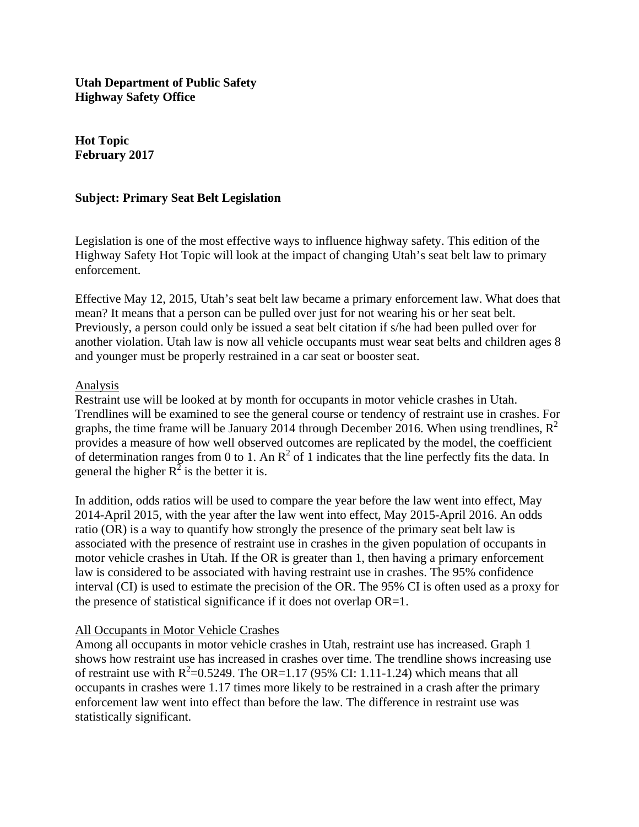**Utah Department of Public Safety Highway Safety Office** 

**Hot Topic February 2017** 

### **Subject: Primary Seat Belt Legislation**

Legislation is one of the most effective ways to influence highway safety. This edition of the Highway Safety Hot Topic will look at the impact of changing Utah's seat belt law to primary enforcement.

Effective May 12, 2015, Utah's seat belt law became a primary enforcement law. What does that mean? It means that a person can be pulled over just for not wearing his or her seat belt. Previously, a person could only be issued a seat belt citation if s/he had been pulled over for another violation. Utah law is now all vehicle occupants must wear seat belts and children ages 8 and younger must be properly restrained in a car seat or booster seat.

#### Analysis

Restraint use will be looked at by month for occupants in motor vehicle crashes in Utah. Trendlines will be examined to see the general course or tendency of restraint use in crashes. For graphs, the time frame will be January 2014 through December 2016. When using trendlines,  $R^2$ provides a measure of how well observed outcomes are replicated by the model, the coefficient of determination ranges from 0 to 1. An  $R^2$  of 1 indicates that the line perfectly fits the data. In general the higher  $R^2$  is the better it is.

In addition, odds ratios will be used to compare the year before the law went into effect, May 2014-April 2015, with the year after the law went into effect, May 2015-April 2016. An odds ratio (OR) is a way to quantify how strongly the presence of the primary seat belt law is associated with the presence of restraint use in crashes in the given population of occupants in motor vehicle crashes in Utah. If the OR is greater than 1, then having a primary enforcement law is considered to be associated with having restraint use in crashes. The 95% confidence interval (CI) is used to estimate the precision of the OR. The 95% CI is often used as a proxy for the presence of statistical significance if it does not overlap OR=1.

### All Occupants in Motor Vehicle Crashes

Among all occupants in motor vehicle crashes in Utah, restraint use has increased. Graph 1 shows how restraint use has increased in crashes over time. The trendline shows increasing use of restraint use with  $R^2$ =0.5249. The OR=1.17 (95% CI: 1.11-1.24) which means that all occupants in crashes were 1.17 times more likely to be restrained in a crash after the primary enforcement law went into effect than before the law. The difference in restraint use was statistically significant.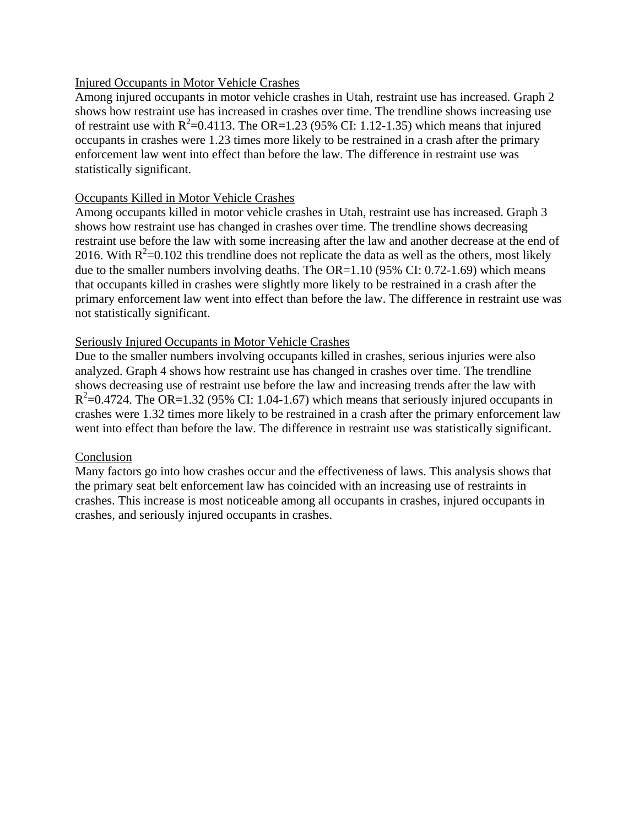### Injured Occupants in Motor Vehicle Crashes

Among injured occupants in motor vehicle crashes in Utah, restraint use has increased. Graph 2 shows how restraint use has increased in crashes over time. The trendline shows increasing use of restraint use with  $R^2$ =0.4113. The OR=1.23 (95% CI: 1.12-1.35) which means that injured occupants in crashes were 1.23 times more likely to be restrained in a crash after the primary enforcement law went into effect than before the law. The difference in restraint use was statistically significant.

## Occupants Killed in Motor Vehicle Crashes

Among occupants killed in motor vehicle crashes in Utah, restraint use has increased. Graph 3 shows how restraint use has changed in crashes over time. The trendline shows decreasing restraint use before the law with some increasing after the law and another decrease at the end of 2016. With  $R^2$ =0.102 this trendline does not replicate the data as well as the others, most likely due to the smaller numbers involving deaths. The OR=1.10 (95% CI: 0.72-1.69) which means that occupants killed in crashes were slightly more likely to be restrained in a crash after the primary enforcement law went into effect than before the law. The difference in restraint use was not statistically significant.

# Seriously Injured Occupants in Motor Vehicle Crashes

Due to the smaller numbers involving occupants killed in crashes, serious injuries were also analyzed. Graph 4 shows how restraint use has changed in crashes over time. The trendline shows decreasing use of restraint use before the law and increasing trends after the law with  $R^2$ =0.4724. The OR=1.32 (95% CI: 1.04-1.67) which means that seriously injured occupants in crashes were 1.32 times more likely to be restrained in a crash after the primary enforcement law went into effect than before the law. The difference in restraint use was statistically significant.

### **Conclusion**

Many factors go into how crashes occur and the effectiveness of laws. This analysis shows that the primary seat belt enforcement law has coincided with an increasing use of restraints in crashes. This increase is most noticeable among all occupants in crashes, injured occupants in crashes, and seriously injured occupants in crashes.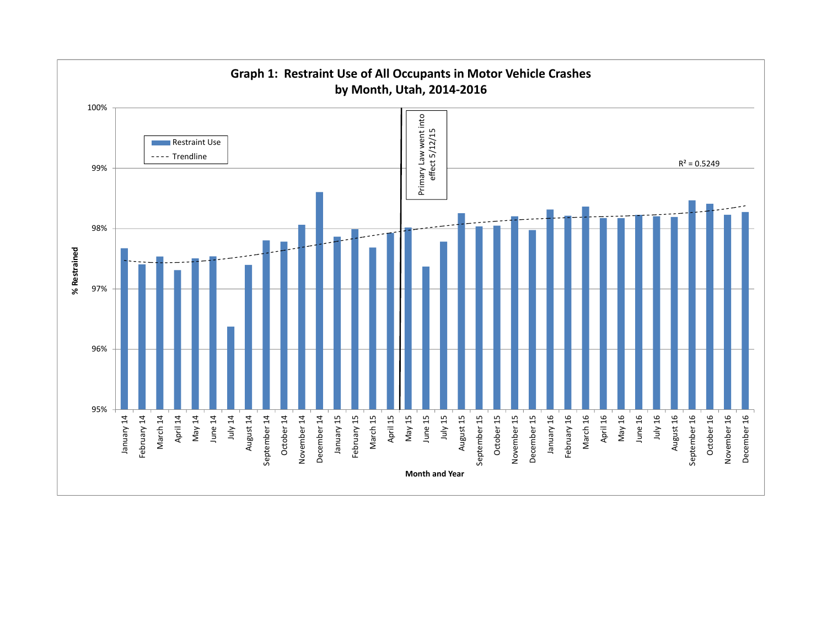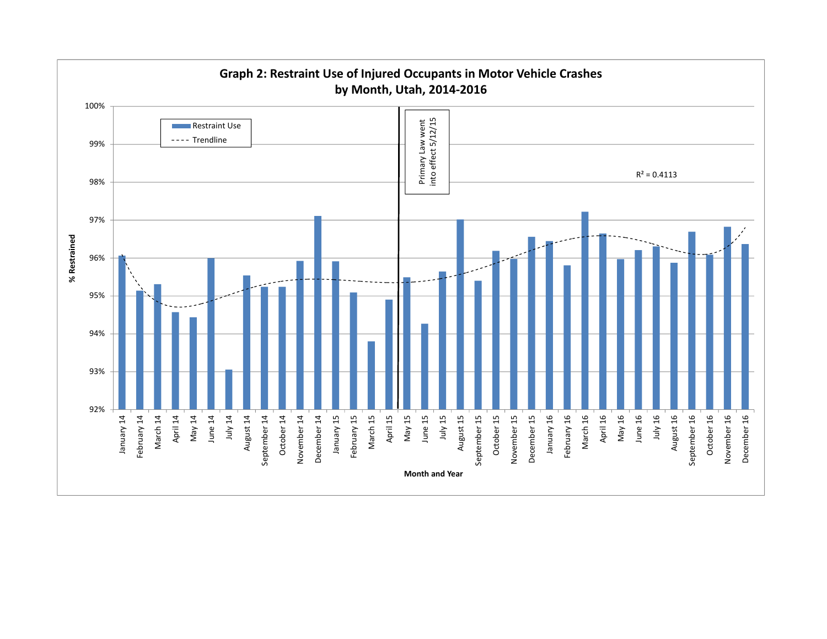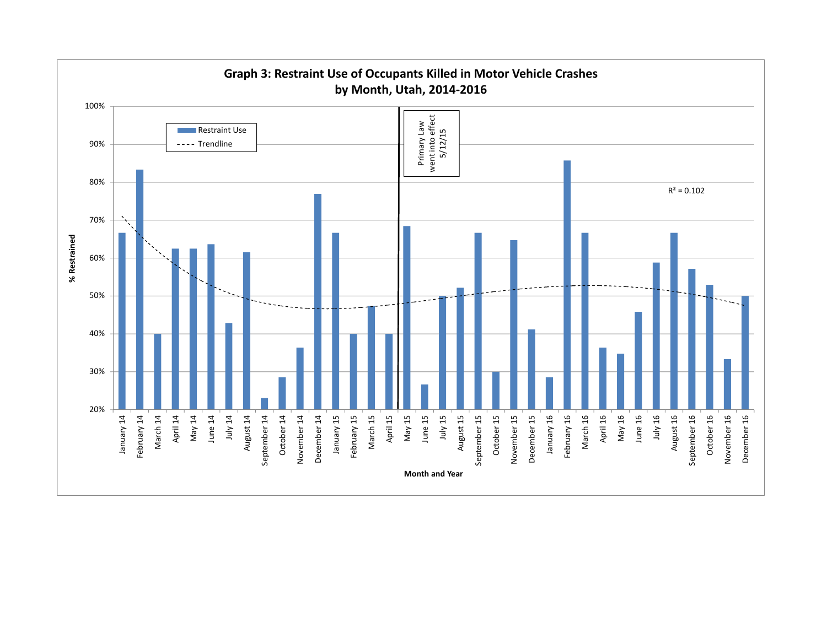